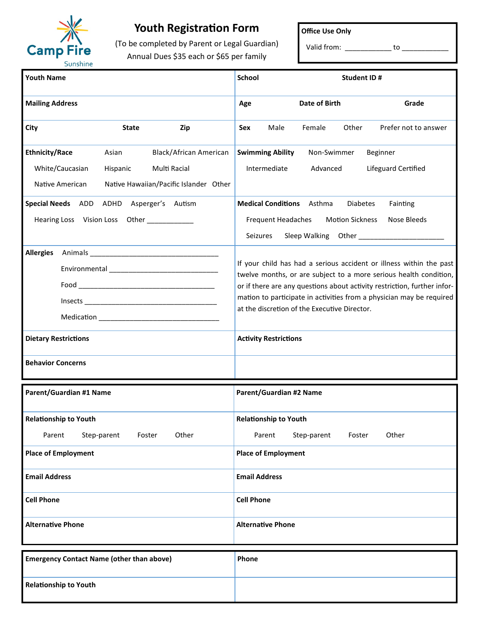

## **Youth Registration Form**

(To be completed by Parent or Legal Guardian) Annual Dues \$35 each or \$65 per family

**Office Use Only**

Valid from: \_\_\_\_\_\_\_\_\_\_\_\_\_\_ to \_\_\_\_\_\_\_

| <b>Youth Name</b>                                                                                       | <b>School</b><br><b>Student ID#</b>                                                                                                                                                                                                                                                                                                          |
|---------------------------------------------------------------------------------------------------------|----------------------------------------------------------------------------------------------------------------------------------------------------------------------------------------------------------------------------------------------------------------------------------------------------------------------------------------------|
| <b>Mailing Address</b>                                                                                  | Date of Birth<br>Grade<br>Age                                                                                                                                                                                                                                                                                                                |
| City<br><b>State</b><br>Zip                                                                             | Other<br>Prefer not to answer<br>Male<br>Female<br>Sex                                                                                                                                                                                                                                                                                       |
| <b>Ethnicity/Race</b><br>Black/African American<br>Asian<br>White/Caucasian<br>Hispanic<br>Multi Racial | <b>Swimming Ability</b><br>Non-Swimmer<br>Beginner<br>Intermediate<br>Lifeguard Certified<br>Advanced                                                                                                                                                                                                                                        |
| Native American<br>Native Hawaiian/Pacific Islander Other                                               |                                                                                                                                                                                                                                                                                                                                              |
| Special Needs ADD ADHD<br>Asperger's Autism<br>Hearing Loss Vision Loss Other __________                | <b>Medical Conditions</b> Asthma<br><b>Diabetes</b><br>Fainting<br><b>Motion Sickness</b><br><b>Frequent Headaches</b><br>Nose Bleeds<br>Seizures<br>Sleep Walking Other _______________________                                                                                                                                             |
| <b>Allergies</b>                                                                                        | If your child has had a serious accident or illness within the past<br>twelve months, or are subject to a more serious health condition,<br>or if there are any questions about activity restriction, further infor-<br>mation to participate in activities from a physician may be required<br>at the discretion of the Executive Director. |
| <b>Dietary Restrictions</b>                                                                             | <b>Activity Restrictions</b>                                                                                                                                                                                                                                                                                                                 |
| <b>Behavior Concerns</b>                                                                                |                                                                                                                                                                                                                                                                                                                                              |
| Parent/Guardian #1 Name                                                                                 | <b>Parent/Guardian #2 Name</b>                                                                                                                                                                                                                                                                                                               |
| <b>Relationship to Youth</b>                                                                            | <b>Relationship to Youth</b>                                                                                                                                                                                                                                                                                                                 |
| Step-parent<br>Other<br>Parent<br>Foster                                                                | Step-parent<br>Other<br>Parent<br>Foster                                                                                                                                                                                                                                                                                                     |
| <b>Place of Employment</b>                                                                              | <b>Place of Employment</b>                                                                                                                                                                                                                                                                                                                   |
| <b>Email Address</b>                                                                                    | <b>Email Address</b>                                                                                                                                                                                                                                                                                                                         |
| <b>Cell Phone</b>                                                                                       | <b>Cell Phone</b>                                                                                                                                                                                                                                                                                                                            |
| <b>Alternative Phone</b>                                                                                | <b>Alternative Phone</b>                                                                                                                                                                                                                                                                                                                     |
| <b>Emergency Contact Name (other than above)</b>                                                        | Phone                                                                                                                                                                                                                                                                                                                                        |
| <b>Relationship to Youth</b>                                                                            |                                                                                                                                                                                                                                                                                                                                              |